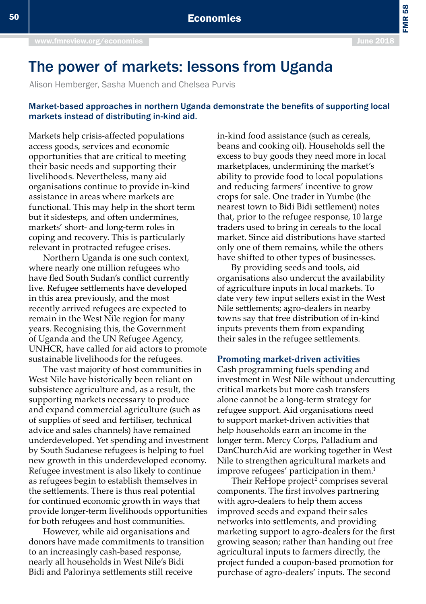FMR 58

## The power of markets: lessons from Uganda

Alison Hemberger, Sasha Muench and Chelsea Purvis

## Market-based approaches in northern Uganda demonstrate the benefits of supporting local markets instead of distributing in-kind aid.

Markets help crisis-affected populations access goods, services and economic opportunities that are critical to meeting their basic needs and supporting their livelihoods. Nevertheless, many aid organisations continue to provide in-kind assistance in areas where markets are functional. This may help in the short term but it sidesteps, and often undermines, markets' short- and long-term roles in coping and recovery. This is particularly relevant in protracted refugee crises.

Northern Uganda is one such context, where nearly one million refugees who have fled South Sudan's conflict currently live. Refugee settlements have developed in this area previously, and the most recently arrived refugees are expected to remain in the West Nile region for many years. Recognising this, the Government of Uganda and the UN Refugee Agency, UNHCR, have called for aid actors to promote sustainable livelihoods for the refugees.

The vast majority of host communities in West Nile have historically been reliant on subsistence agriculture and, as a result, the supporting markets necessary to produce and expand commercial agriculture (such as of supplies of seed and fertiliser, technical advice and sales channels) have remained underdeveloped. Yet spending and investment by South Sudanese refugees is helping to fuel new growth in this underdeveloped economy. Refugee investment is also likely to continue as refugees begin to establish themselves in the settlements. There is thus real potential for continued economic growth in ways that provide longer-term livelihoods opportunities for both refugees and host communities.

However, while aid organisations and donors have made commitments to transition to an increasingly cash-based response, nearly all households in West Nile's Bidi Bidi and Palorinya settlements still receive

in-kind food assistance (such as cereals, beans and cooking oil). Households sell the excess to buy goods they need more in local marketplaces, undermining the market's ability to provide food to local populations and reducing farmers' incentive to grow crops for sale. One trader in Yumbe (the nearest town to Bidi Bidi settlement) notes that, prior to the refugee response, 10 large traders used to bring in cereals to the local market. Since aid distributions have started only one of them remains, while the others have shifted to other types of businesses.

By providing seeds and tools, aid organisations also undercut the availability of agriculture inputs in local markets. To date very few input sellers exist in the West Nile settlements; agro-dealers in nearby towns say that free distribution of in-kind inputs prevents them from expanding their sales in the refugee settlements.

## **Promoting market-driven activities**

Cash programming fuels spending and investment in West Nile without undercutting critical markets but more cash transfers alone cannot be a long-term strategy for refugee support. Aid organisations need to support market-driven activities that help households earn an income in the longer term. Mercy Corps, Palladium and DanChurchAid are working together in West Nile to strengthen agricultural markets and improve refugees' participation in them.<sup>1</sup>

Their ReHope project<sup>2</sup> comprises several components. The first involves partnering with agro-dealers to help them access improved seeds and expand their sales networks into settlements, and providing marketing support to agro-dealers for the first growing season; rather than handing out free agricultural inputs to farmers directly, the project funded a coupon-based promotion for purchase of agro-dealers' inputs. The second